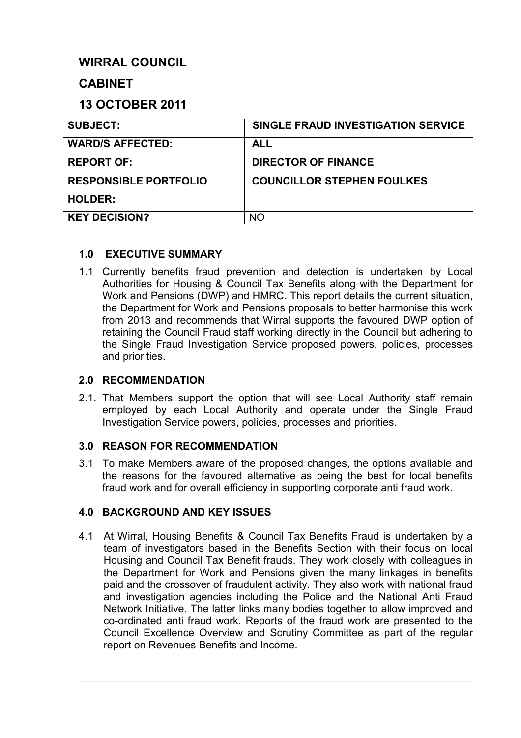# **WIRRAL COUNCIL**

# **CABINET**

# **13 OCTOBER 2011**

| <b>SUBJECT:</b>              | SINGLE FRAUD INVESTIGATION SERVICE |
|------------------------------|------------------------------------|
| <b>WARD/S AFFECTED:</b>      | <b>ALL</b>                         |
| <b>REPORT OF:</b>            | <b>DIRECTOR OF FINANCE</b>         |
| <b>RESPONSIBLE PORTFOLIO</b> | <b>COUNCILLOR STEPHEN FOULKES</b>  |
| <b>HOLDER:</b>               |                                    |
| <b>KEY DECISION?</b>         | NO                                 |

### **1.0 EXECUTIVE SUMMARY**

1.1 Currently benefits fraud prevention and detection is undertaken by Local Authorities for Housing & Council Tax Benefits along with the Department for Work and Pensions (DWP) and HMRC. This report details the current situation, the Department for Work and Pensions proposals to better harmonise this work from 2013 and recommends that Wirral supports the favoured DWP option of retaining the Council Fraud staff working directly in the Council but adhering to the Single Fraud Investigation Service proposed powers, policies, processes and priorities.

#### **2.0 RECOMMENDATION**

2.1. That Members support the option that will see Local Authority staff remain employed by each Local Authority and operate under the Single Fraud Investigation Service powers, policies, processes and priorities.

#### **3.0 REASON FOR RECOMMENDATION**

3.1 To make Members aware of the proposed changes, the options available and the reasons for the favoured alternative as being the best for local benefits fraud work and for overall efficiency in supporting corporate anti fraud work.

## **4.0 BACKGROUND AND KEY ISSUES**

4.1 At Wirral, Housing Benefits & Council Tax Benefits Fraud is undertaken by a team of investigators based in the Benefits Section with their focus on local Housing and Council Tax Benefit frauds. They work closely with colleagues in the Department for Work and Pensions given the many linkages in benefits paid and the crossover of fraudulent activity. They also work with national fraud and investigation agencies including the Police and the National Anti Fraud Network Initiative. The latter links many bodies together to allow improved and co-ordinated anti fraud work. Reports of the fraud work are presented to the Council Excellence Overview and Scrutiny Committee as part of the regular report on Revenues Benefits and Income.

 $\mathcal{L}_\mathcal{L} = \mathcal{L}_\mathcal{L} = \mathcal{L}_\mathcal{L} = \mathcal{L}_\mathcal{L} = \mathcal{L}_\mathcal{L} = \mathcal{L}_\mathcal{L} = \mathcal{L}_\mathcal{L} = \mathcal{L}_\mathcal{L} = \mathcal{L}_\mathcal{L} = \mathcal{L}_\mathcal{L} = \mathcal{L}_\mathcal{L} = \mathcal{L}_\mathcal{L} = \mathcal{L}_\mathcal{L} = \mathcal{L}_\mathcal{L} = \mathcal{L}_\mathcal{L} = \mathcal{L}_\mathcal{L} = \mathcal{L}_\mathcal{L}$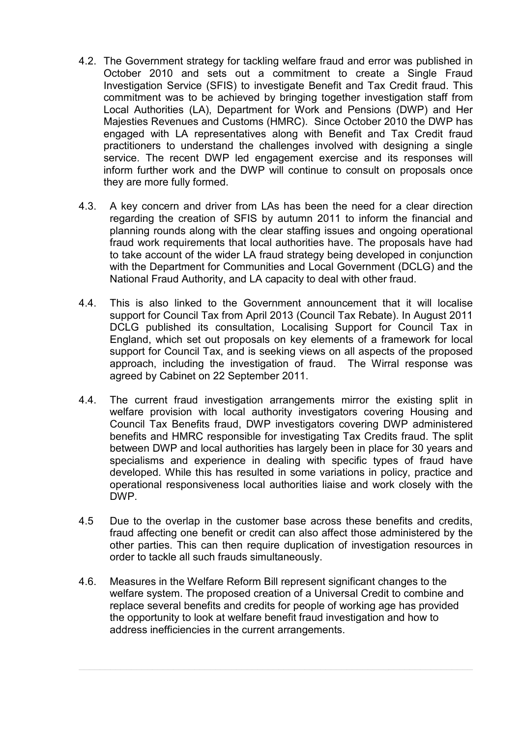- 4.2. The Government strategy for tackling welfare fraud and error was published in October 2010 and sets out a commitment to create a Single Fraud Investigation Service (SFIS) to investigate Benefit and Tax Credit fraud. This commitment was to be achieved by bringing together investigation staff from Local Authorities (LA), Department for Work and Pensions (DWP) and Her Majesties Revenues and Customs (HMRC). Since October 2010 the DWP has engaged with LA representatives along with Benefit and Tax Credit fraud practitioners to understand the challenges involved with designing a single service. The recent DWP led engagement exercise and its responses will inform further work and the DWP will continue to consult on proposals once they are more fully formed.
- 4.3. A key concern and driver from LAs has been the need for a clear direction regarding the creation of SFIS by autumn 2011 to inform the financial and planning rounds along with the clear staffing issues and ongoing operational fraud work requirements that local authorities have. The proposals have had to take account of the wider LA fraud strategy being developed in conjunction with the Department for Communities and Local Government (DCLG) and the National Fraud Authority, and LA capacity to deal with other fraud.
- 4.4. This is also linked to the Government announcement that it will localise support for Council Tax from April 2013 (Council Tax Rebate). In August 2011 DCLG published its consultation, Localising Support for Council Tax in England, which set out proposals on key elements of a framework for local support for Council Tax, and is seeking views on all aspects of the proposed approach, including the investigation of fraud. The Wirral response was agreed by Cabinet on 22 September 2011.
- 4.4. The current fraud investigation arrangements mirror the existing split in welfare provision with local authority investigators covering Housing and Council Tax Benefits fraud, DWP investigators covering DWP administered benefits and HMRC responsible for investigating Tax Credits fraud. The split between DWP and local authorities has largely been in place for 30 years and specialisms and experience in dealing with specific types of fraud have developed. While this has resulted in some variations in policy, practice and operational responsiveness local authorities liaise and work closely with the DWP.
- 4.5 Due to the overlap in the customer base across these benefits and credits, fraud affecting one benefit or credit can also affect those administered by the other parties. This can then require duplication of investigation resources in order to tackle all such frauds simultaneously.
- 4.6. Measures in the Welfare Reform Bill represent significant changes to the welfare system. The proposed creation of a Universal Credit to combine and replace several benefits and credits for people of working age has provided the opportunity to look at welfare benefit fraud investigation and how to address inefficiencies in the current arrangements.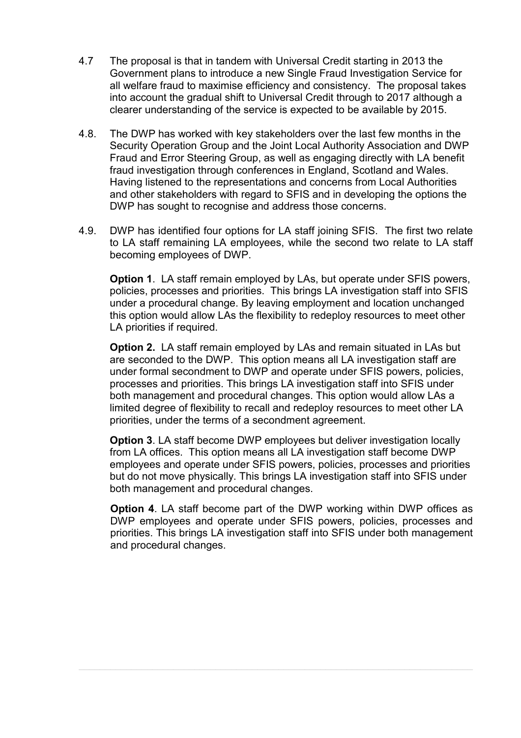- 4.7 The proposal is that in tandem with Universal Credit starting in 2013 the Government plans to introduce a new Single Fraud Investigation Service for all welfare fraud to maximise efficiency and consistency. The proposal takes into account the gradual shift to Universal Credit through to 2017 although a clearer understanding of the service is expected to be available by 2015.
- 4.8. The DWP has worked with key stakeholders over the last few months in the Security Operation Group and the Joint Local Authority Association and DWP Fraud and Error Steering Group, as well as engaging directly with LA benefit fraud investigation through conferences in England, Scotland and Wales. Having listened to the representations and concerns from Local Authorities and other stakeholders with regard to SFIS and in developing the options the DWP has sought to recognise and address those concerns.
- 4.9. DWP has identified four options for LA staff joining SFIS. The first two relate to LA staff remaining LA employees, while the second two relate to LA staff becoming employees of DWP.

**Option 1.** LA staff remain employed by LAs, but operate under SFIS powers, policies, processes and priorities. This brings LA investigation staff into SFIS under a procedural change. By leaving employment and location unchanged this option would allow LAs the flexibility to redeploy resources to meet other LA priorities if required.

**Option 2.** LA staff remain employed by LAs and remain situated in LAs but are seconded to the DWP. This option means all LA investigation staff are under formal secondment to DWP and operate under SFIS powers, policies, processes and priorities. This brings LA investigation staff into SFIS under both management and procedural changes. This option would allow LAs a limited degree of flexibility to recall and redeploy resources to meet other LA priorities, under the terms of a secondment agreement.

**Option 3.** LA staff become DWP employees but deliver investigation locally from LA offices. This option means all LA investigation staff become DWP employees and operate under SFIS powers, policies, processes and priorities but do not move physically. This brings LA investigation staff into SFIS under both management and procedural changes.

**Option 4**. LA staff become part of the DWP working within DWP offices as DWP employees and operate under SFIS powers, policies, processes and priorities. This brings LA investigation staff into SFIS under both management and procedural changes.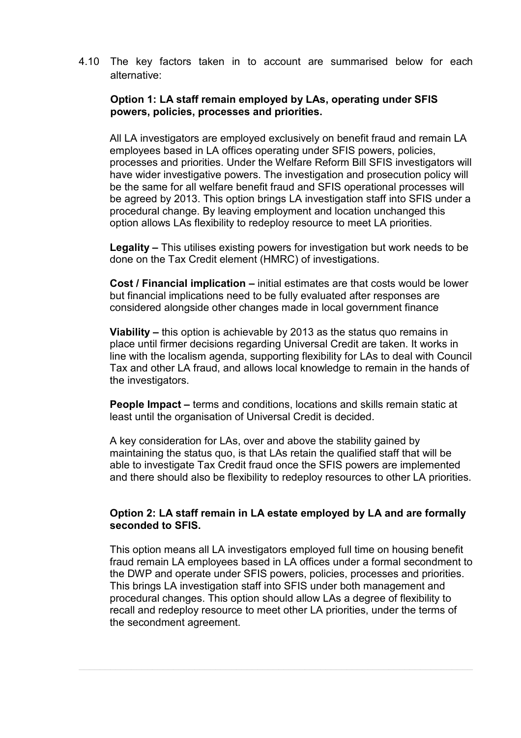4.10 The key factors taken in to account are summarised below for each alternative:

#### **Option 1: LA staff remain employed by LAs, operating under SFIS powers, policies, processes and priorities.**

All LA investigators are employed exclusively on benefit fraud and remain LA employees based in LA offices operating under SFIS powers, policies, processes and priorities. Under the Welfare Reform Bill SFIS investigators will have wider investigative powers. The investigation and prosecution policy will be the same for all welfare benefit fraud and SFIS operational processes will be agreed by 2013. This option brings LA investigation staff into SFIS under a procedural change. By leaving employment and location unchanged this option allows LAs flexibility to redeploy resource to meet LA priorities.

**Legality –** This utilises existing powers for investigation but work needs to be done on the Tax Credit element (HMRC) of investigations.

**Cost / Financial implication –** initial estimates are that costs would be lower but financial implications need to be fully evaluated after responses are considered alongside other changes made in local government finance

**Viability –** this option is achievable by 2013 as the status quo remains in place until firmer decisions regarding Universal Credit are taken. It works in line with the localism agenda, supporting flexibility for LAs to deal with Council Tax and other LA fraud, and allows local knowledge to remain in the hands of the investigators.

**People Impact –** terms and conditions, locations and skills remain static at least until the organisation of Universal Credit is decided.

A key consideration for LAs, over and above the stability gained by maintaining the status quo, is that LAs retain the qualified staff that will be able to investigate Tax Credit fraud once the SFIS powers are implemented and there should also be flexibility to redeploy resources to other LA priorities.

#### **Option 2: LA staff remain in LA estate employed by LA and are formally seconded to SFIS.**

This option means all LA investigators employed full time on housing benefit fraud remain LA employees based in LA offices under a formal secondment to the DWP and operate under SFIS powers, policies, processes and priorities. This brings LA investigation staff into SFIS under both management and procedural changes. This option should allow LAs a degree of flexibility to recall and redeploy resource to meet other LA priorities, under the terms of the secondment agreement.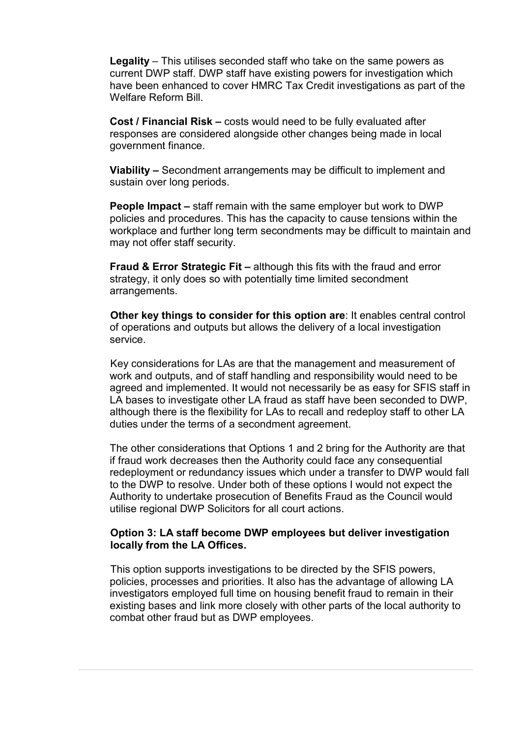**Legality** – This utilises seconded staff who take on the same powers as current DWP staff. DWP staff have existing powers for investigation which have been enhanced to cover HMRC Tax Credit investigations as part of the Welfare Reform Bill.

**Cost / Financial Risk –** costs would need to be fully evaluated after responses are considered alongside other changes being made in local government finance.

**Viability –** Secondment arrangements may be difficult to implement and sustain over long periods.

**People Impact –** staff remain with the same employer but work to DWP policies and procedures. This has the capacity to cause tensions within the workplace and further long term secondments may be difficult to maintain and may not offer staff security.

**Fraud & Error Strategic Fit –** although this fits with the fraud and error strategy, it only does so with potentially time limited secondment arrangements.

 **Other key things to consider for this option are**: It enables central control of operations and outputs but allows the delivery of a local investigation service.

 Key considerations for LAs are that the management and measurement of work and outputs, and of staff handling and responsibility would need to be agreed and implemented. It would not necessarily be as easy for SFIS staff in LA bases to investigate other LA fraud as staff have been seconded to DWP, although there is the flexibility for LAs to recall and redeploy staff to other LA duties under the terms of a secondment agreement.

 The other considerations that Options 1 and 2 bring for the Authority are that if fraud work decreases then the Authority could face any consequential redeployment or redundancy issues which under a transfer to DWP would fall to the DWP to resolve. Under both of these options I would not expect the Authority to undertake prosecution of Benefits Fraud as the Council would utilise regional DWP Solicitors for all court actions.

#### **Option 3: LA staff become DWP employees but deliver investigation locally from the LA Offices.**

 This option supports investigations to be directed by the SFIS powers, policies, processes and priorities. It also has the advantage of allowing LA investigators employed full time on housing benefit fraud to remain in their existing bases and link more closely with other parts of the local authority to combat other fraud but as DWP employees.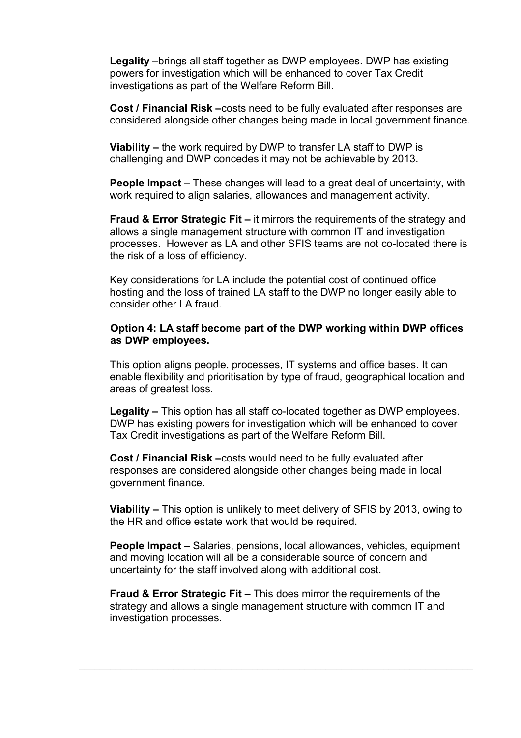**Legality –**brings all staff together as DWP employees. DWP has existing powers for investigation which will be enhanced to cover Tax Credit investigations as part of the Welfare Reform Bill.

**Cost / Financial Risk –**costs need to be fully evaluated after responses are considered alongside other changes being made in local government finance.

**Viability –** the work required by DWP to transfer LA staff to DWP is challenging and DWP concedes it may not be achievable by 2013.

**People Impact –** These changes will lead to a great deal of uncertainty, with work required to align salaries, allowances and management activity.

**Fraud & Error Strategic Fit – it mirrors the requirements of the strategy and** allows a single management structure with common IT and investigation processes. However as LA and other SFIS teams are not co-located there is the risk of a loss of efficiency.

Key considerations for LA include the potential cost of continued office hosting and the loss of trained LA staff to the DWP no longer easily able to consider other LA fraud.

#### **Option 4: LA staff become part of the DWP working within DWP offices as DWP employees.**

This option aligns people, processes, IT systems and office bases. It can enable flexibility and prioritisation by type of fraud, geographical location and areas of greatest loss.

**Legality –** This option has all staff co-located together as DWP employees. DWP has existing powers for investigation which will be enhanced to cover Tax Credit investigations as part of the Welfare Reform Bill.

**Cost / Financial Risk –**costs would need to be fully evaluated after responses are considered alongside other changes being made in local government finance.

**Viability –** This option is unlikely to meet delivery of SFIS by 2013, owing to the HR and office estate work that would be required.

**People Impact –** Salaries, pensions, local allowances, vehicles, equipment and moving location will all be a considerable source of concern and uncertainty for the staff involved along with additional cost.

**Fraud & Error Strategic Fit –** This does mirror the requirements of the strategy and allows a single management structure with common IT and investigation processes.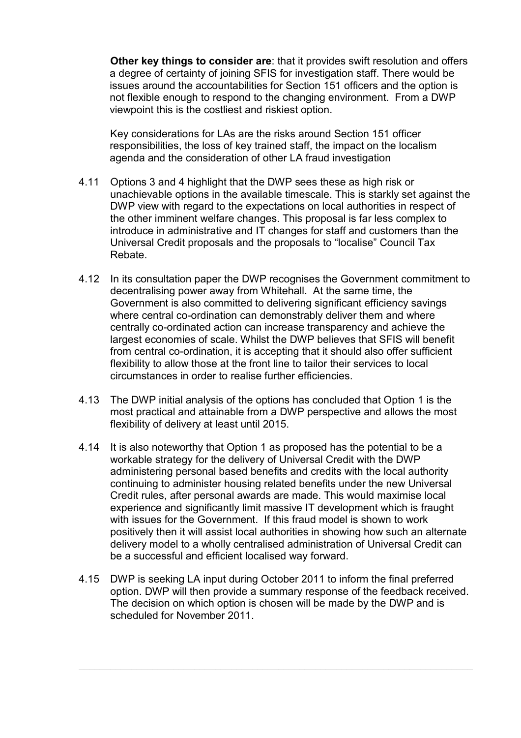**Other key things to consider are**: that it provides swift resolution and offers a degree of certainty of joining SFIS for investigation staff. There would be issues around the accountabilities for Section 151 officers and the option is not flexible enough to respond to the changing environment. From a DWP viewpoint this is the costliest and riskiest option.

 Key considerations for LAs are the risks around Section 151 officer responsibilities, the loss of key trained staff, the impact on the localism agenda and the consideration of other LA fraud investigation

- 4.11 Options 3 and 4 highlight that the DWP sees these as high risk or unachievable options in the available timescale. This is starkly set against the DWP view with regard to the expectations on local authorities in respect of the other imminent welfare changes. This proposal is far less complex to introduce in administrative and IT changes for staff and customers than the Universal Credit proposals and the proposals to "localise" Council Tax Rebate.
- 4.12 In its consultation paper the DWP recognises the Government commitment to decentralising power away from Whitehall. At the same time, the Government is also committed to delivering significant efficiency savings where central co-ordination can demonstrably deliver them and where centrally co-ordinated action can increase transparency and achieve the largest economies of scale. Whilst the DWP believes that SFIS will benefit from central co-ordination, it is accepting that it should also offer sufficient flexibility to allow those at the front line to tailor their services to local circumstances in order to realise further efficiencies.
- 4.13 The DWP initial analysis of the options has concluded that Option 1 is the most practical and attainable from a DWP perspective and allows the most flexibility of delivery at least until 2015.
- 4.14 It is also noteworthy that Option 1 as proposed has the potential to be a workable strategy for the delivery of Universal Credit with the DWP administering personal based benefits and credits with the local authority continuing to administer housing related benefits under the new Universal Credit rules, after personal awards are made. This would maximise local experience and significantly limit massive IT development which is fraught with issues for the Government. If this fraud model is shown to work positively then it will assist local authorities in showing how such an alternate delivery model to a wholly centralised administration of Universal Credit can be a successful and efficient localised way forward.
- 4.15 DWP is seeking LA input during October 2011 to inform the final preferred option. DWP will then provide a summary response of the feedback received. The decision on which option is chosen will be made by the DWP and is scheduled for November 2011.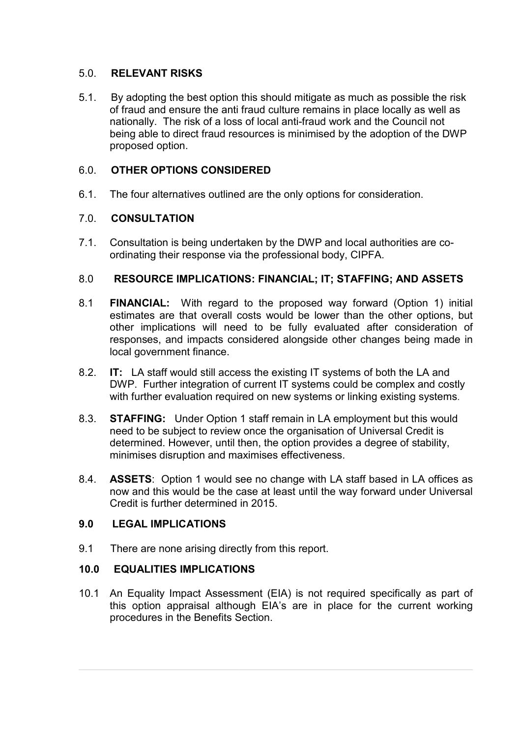### 5.0. **RELEVANT RISKS**

5.1. By adopting the best option this should mitigate as much as possible the risk of fraud and ensure the anti fraud culture remains in place locally as well as nationally. The risk of a loss of local anti-fraud work and the Council not being able to direct fraud resources is minimised by the adoption of the DWP proposed option.

## 6.0. **OTHER OPTIONS CONSIDERED**

6.1. The four alternatives outlined are the only options for consideration.

## 7.0. **CONSULTATION**

7.1. Consultation is being undertaken by the DWP and local authorities are coordinating their response via the professional body, CIPFA.

#### 8.0 **RESOURCE IMPLICATIONS: FINANCIAL; IT; STAFFING; AND ASSETS**

- 8.1 **FINANCIAL:** With regard to the proposed way forward (Option 1) initial estimates are that overall costs would be lower than the other options, but other implications will need to be fully evaluated after consideration of responses, and impacts considered alongside other changes being made in local government finance.
- 8.2. **IT:** LA staff would still access the existing IT systems of both the LA and DWP. Further integration of current IT systems could be complex and costly with further evaluation required on new systems or linking existing systems.
- 8.3. **STAFFING:** Under Option 1 staff remain in LA employment but this would need to be subject to review once the organisation of Universal Credit is determined. However, until then, the option provides a degree of stability, minimises disruption and maximises effectiveness.
- 8.4. **ASSETS**: Option 1 would see no change with LA staff based in LA offices as now and this would be the case at least until the way forward under Universal Credit is further determined in 2015.

#### **9.0 LEGAL IMPLICATIONS**

9.1 There are none arising directly from this report.

## **10.0 EQUALITIES IMPLICATIONS**

10.1 An Equality Impact Assessment (EIA) is not required specifically as part of this option appraisal although EIA's are in place for the current working procedures in the Benefits Section.